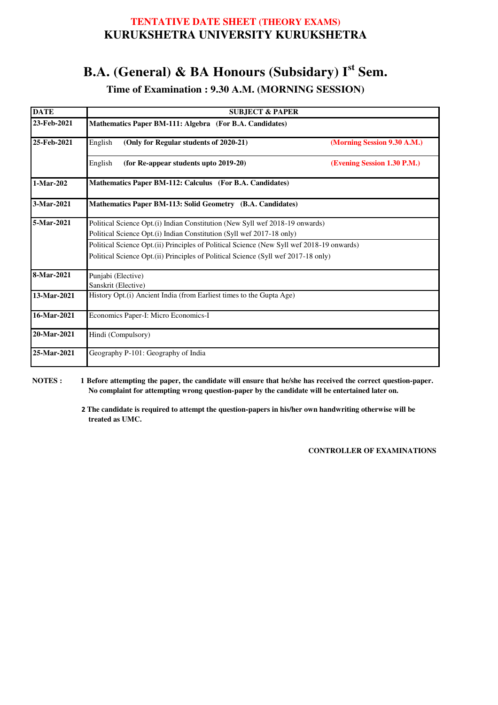## **B.A. (General) & BA Honours (Subsidary) Ist Sem.**

### **Time of Examination : 9.30 A.M. (MORNING SESSION)**

| <b>DATE</b> | <b>SUBJECT &amp; PAPER</b>                                                                                                                            |  |
|-------------|-------------------------------------------------------------------------------------------------------------------------------------------------------|--|
| 23-Feb-2021 | Mathematics Paper BM-111: Algebra (For B.A. Candidates)                                                                                               |  |
| 25-Feb-2021 | English<br>(Only for Regular students of 2020-21)<br>(Morning Session 9.30 A.M.)                                                                      |  |
|             | English<br>(for Re-appear students upto $2019-20$ )<br>(Evening Session 1.30 P.M.)                                                                    |  |
| $1-Mar-202$ | Mathematics Paper BM-112: Calculus (For B.A. Candidates)                                                                                              |  |
| 3-Mar-2021  | Mathematics Paper BM-113: Solid Geometry (B.A. Candidates)                                                                                            |  |
| 5-Mar-2021  | Political Science Opt.(i) Indian Constitution (New Syll wef 2018-19 onwards)<br>Political Science Opt.(i) Indian Constitution (Syll wef 2017-18 only) |  |
|             | Political Science Opt.(ii) Principles of Political Science (New Syll wef 2018-19 onwards)                                                             |  |
|             | Political Science Opt.(ii) Principles of Political Science (Syll wef 2017-18 only)                                                                    |  |
| 8-Mar-2021  | Punjabi (Elective)<br>Sanskrit (Elective)                                                                                                             |  |
| 13-Mar-2021 | History Opt.(i) Ancient India (from Earliest times to the Gupta Age)                                                                                  |  |
| 16-Mar-2021 | Economics Paper-I: Micro Economics-I                                                                                                                  |  |
| 20-Mar-2021 | Hindi (Compulsory)                                                                                                                                    |  |
| 25-Mar-2021 | Geography P-101: Geography of India                                                                                                                   |  |

**NOTES :** 1 Before attempting the paper, the candidate will ensure that he/she has received the correct question-paper. **No complaint for attempting wrong question-paper by the candidate will be entertained later on.** 

> **2 The candidate is required to attempt the question-papers in his/her own handwriting otherwise will be treated as UMC.**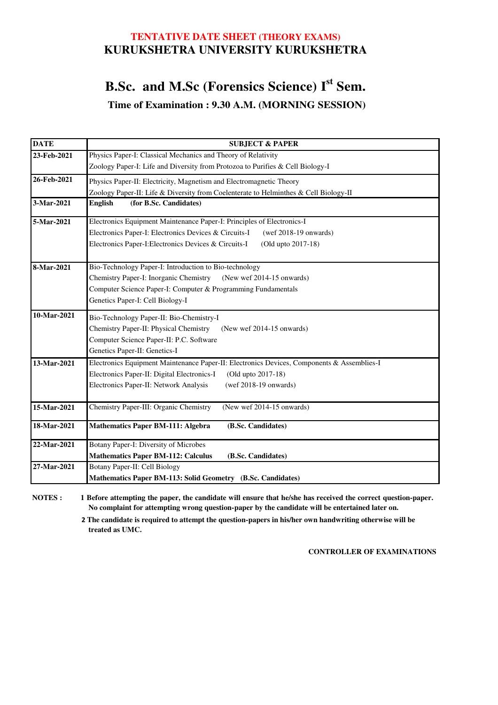## **B.Sc. and M.Sc (Forensics Science) Ist Sem. Time of Examination : 9.30 A.M. (MORNING SESSION)**

| <b>DATE</b> | <b>SUBJECT &amp; PAPER</b>                                                                 |
|-------------|--------------------------------------------------------------------------------------------|
| 23-Feb-2021 | Physics Paper-I: Classical Mechanics and Theory of Relativity                              |
|             | Zoology Paper-I: Life and Diversity from Protozoa to Purifies & Cell Biology-I             |
| 26-Feb-2021 | Physics Paper-II: Electricity, Magnetism and Electromagnetic Theory                        |
|             | Zoology Paper-II: Life & Diversity from Coelenterate to Helminthes & Cell Biology-II       |
| 3-Mar-2021  | English<br>(for B.Sc. Candidates)                                                          |
| 5-Mar-2021  | Electronics Equipment Maintenance Paper-I: Principles of Electronics-I                     |
|             | Electronics Paper-I: Electronics Devices & Circuits-I<br>(wef 2018-19 onwards)             |
|             | Electronics Paper-I: Electronics Devices & Circuits-I<br>(Old upto 2017-18)                |
| 8-Mar-2021  | Bio-Technology Paper-I: Introduction to Bio-technology                                     |
|             | Chemistry Paper-I: Inorganic Chemistry<br>(New wef 2014-15 onwards)                        |
|             | Computer Science Paper-I: Computer & Programming Fundamentals                              |
|             | Genetics Paper-I: Cell Biology-I                                                           |
| 10-Mar-2021 | Bio-Technology Paper-II: Bio-Chemistry-I                                                   |
|             | Chemistry Paper-II: Physical Chemistry<br>(New wef 2014-15 onwards)                        |
|             | Computer Science Paper-II: P.C. Software                                                   |
|             | Genetics Paper-II: Genetics-I                                                              |
| 13-Mar-2021 | Electronics Equipment Maintenance Paper-II: Electronics Devices, Components & Assemblies-I |
|             | Electronics Paper-II: Digital Electronics-I<br>(Old upto 2017-18)                          |
|             | Electronics Paper-II: Network Analysis<br>$(wef 2018-19)$ onwards)                         |
| 15-Mar-2021 | (New wef 2014-15 onwards)<br>Chemistry Paper-III: Organic Chemistry                        |
| 18-Mar-2021 | <b>Mathematics Paper BM-111: Algebra</b><br>(B.Sc. Candidates)                             |
| 22-Mar-2021 | Botany Paper-I: Diversity of Microbes                                                      |
|             | <b>Mathematics Paper BM-112: Calculus</b><br>(B.Sc. Candidates)                            |
| 27-Mar-2021 | Botany Paper-II: Cell Biology                                                              |
|             | Mathematics Paper BM-113: Solid Geometry (B.Sc. Candidates)                                |

**NOTES : 1 Before attempting the paper, the candidate will ensure that he/she has received the correct question-paper. No complaint for attempting wrong question-paper by the candidate will be entertained later on.** 

> **2 The candidate is required to attempt the question-papers in his/her own handwriting otherwise will be treated as UMC.**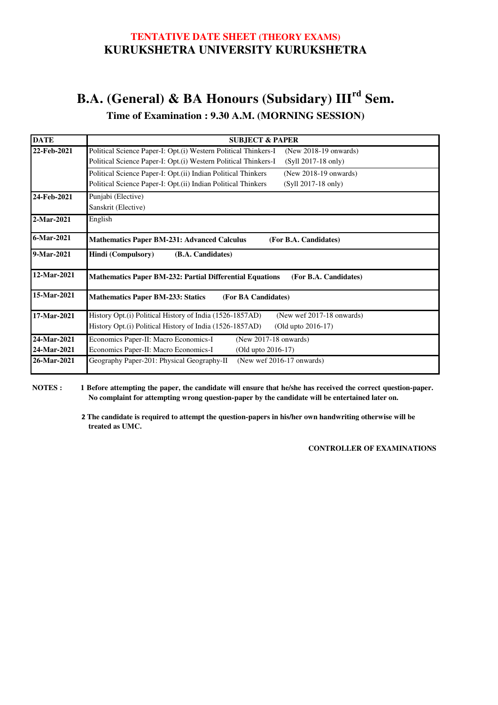# **B.A. (General) & BA Honours (Subsidary) IIIrd Sem.**

### **Time of Examination : 9.30 A.M. (MORNING SESSION)**

| <b>DATE</b> | <b>SUBJECT &amp; PAPER</b>                                                               |
|-------------|------------------------------------------------------------------------------------------|
| 22-Feb-2021 | Political Science Paper-I: Opt.(i) Western Political Thinkers-I<br>(New 2018-19 onwards) |
|             | Political Science Paper-I: Opt.(i) Western Political Thinkers-I<br>(Syll 2017-18 only)   |
|             | Political Science Paper-I: Opt.(ii) Indian Political Thinkers<br>(New 2018-19 onwards)   |
|             | Political Science Paper-I: Opt.(ii) Indian Political Thinkers<br>(Syll 2017-18 only)     |
| 24-Feb-2021 | Punjabi (Elective)                                                                       |
|             | Sanskrit (Elective)                                                                      |
| 2-Mar-2021  | English                                                                                  |
| 6-Mar-2021  | <b>Mathematics Paper BM-231: Advanced Calculus</b><br>(For B.A. Candidates)              |
| 9-Mar-2021  | Hindi (Compulsory)<br>(B.A. Candidates)                                                  |
| 12-Mar-2021 | <b>Mathematics Paper BM-232: Partial Differential Equations</b><br>(For B.A. Candidates) |
| 15-Mar-2021 | <b>Mathematics Paper BM-233: Statics</b><br>(For BA Candidates)                          |
| 17-Mar-2021 | History Opt.(i) Political History of India (1526-1857AD)<br>(New wef 2017-18 onwards)    |
|             | History Opt.(i) Political History of India (1526-1857AD)<br>(Old upto 2016-17)           |
| 24-Mar-2021 | Economics Paper-II: Macro Economics-I<br>(New 2017-18 onwards)                           |
| 24-Mar-2021 | Economics Paper-II: Macro Economics-I<br>(Old upto 2016-17)                              |
| 26-Mar-2021 | Geography Paper-201: Physical Geography-II<br>(New wef 2016-17 onwards)                  |

**NOTES : 1 Before attempting the paper, the candidate will ensure that he/she has received the correct question-paper. No complaint for attempting wrong question-paper by the candidate will be entertained later on.** 

> **2 The candidate is required to attempt the question-papers in his/her own handwriting otherwise will be treated as UMC.**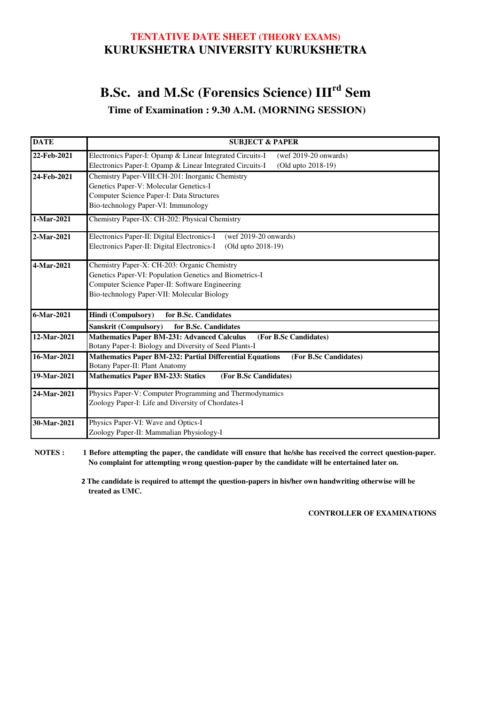## **B.Sc. and M.Sc (Forensics Science) IIIrd Sem**

**Time of Examination : 9.30 A.M. (MORNING SESSION)** 

| <b>DATE</b> | <b>SUBJECT &amp; PAPER</b>                                                                                                                                                                                |
|-------------|-----------------------------------------------------------------------------------------------------------------------------------------------------------------------------------------------------------|
| 22-Feb-2021 | Electronics Paper-I: Opamp & Linear Integrated Circuits-I<br>(wef $2019-20$ onwards)<br>Electronics Paper-I: Opamp & Linear Integrated Circuits-I<br>(Old upto 2018-19)                                   |
| 24-Feb-2021 | Chemistry Paper-VIII:CH-201: Inorganic Chemistry<br>Genetics Paper-V: Molecular Genetics-I<br>Computer Science Paper-I: Data Structures<br>Bio-technology Paper-VI: Immunology                            |
| 1-Mar-2021  | Chemistry Paper-IX: CH-202: Physical Chemistry                                                                                                                                                            |
| 2-Mar-2021  | Electronics Paper-II: Digital Electronics-I<br>$(wef 2019-20)$ onwards)<br>Electronics Paper-II: Digital Electronics-I<br>(Old upto 2018-19)                                                              |
| 4-Mar-2021  | Chemistry Paper-X: CH-203: Organic Chemistry<br>Genetics Paper-VI: Population Genetics and Biometrics-I<br>Computer Science Paper-II: Software Engineering<br>Bio-technology Paper-VII: Molecular Biology |
| 6-Mar-2021  | <b>Hindi</b> (Compulsory)<br>for B.Sc. Candidates                                                                                                                                                         |
|             | <b>Sanskrit (Compulsory)</b><br>for B.Sc. Candidates                                                                                                                                                      |
| 12-Mar-2021 | Mathematics Paper BM-231: Advanced Calculus<br>(For B.Sc Candidates)<br>Botany Paper-I: Biology and Diversity of Seed Plants-I                                                                            |
| 16-Mar-2021 | <b>Mathematics Paper BM-232: Partial Differential Equations</b><br>(For B.Sc Candidates)<br>Botany Paper-II: Plant Anatomy                                                                                |
| 19-Mar-2021 | <b>Mathematics Paper BM-233: Statics</b><br>(For B.Sc Candidates)                                                                                                                                         |
| 24-Mar-2021 | Physics Paper-V: Computer Programming and Thermodynamics<br>Zoology Paper-I: Life and Diversity of Chordates-I                                                                                            |
| 30-Mar-2021 | Physics Paper-VI: Wave and Optics-I<br>Zoology Paper-II: Mammalian Physiology-I                                                                                                                           |

**NOTES : 1 Before attempting the paper, the candidate will ensure that he/she has received the correct question-paper. No complaint for attempting wrong question-paper by the candidate will be entertained later on.** 

> **2 The candidate is required to attempt the question-papers in his/her own handwriting otherwise will be treated as UMC.**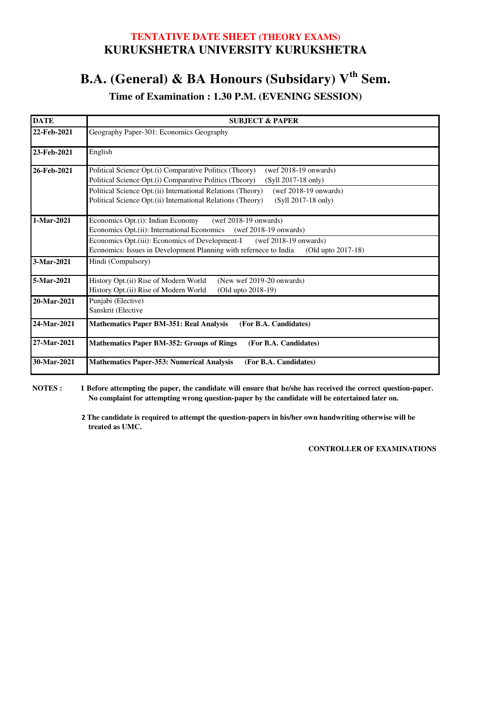# **B.A. (General) & BA Honours (Subsidary) Vth Sem.**

**Time of Examination : 1.30 P.M. (EVENING SESSION)** 

| <b>DATE</b> | <b>SUBJECT &amp; PAPER</b>                                                                                                                                                                                                                                                                                                                                   |
|-------------|--------------------------------------------------------------------------------------------------------------------------------------------------------------------------------------------------------------------------------------------------------------------------------------------------------------------------------------------------------------|
| 22-Feb-2021 | Geography Paper-301: Economics Geography                                                                                                                                                                                                                                                                                                                     |
| 23-Feb-2021 | English                                                                                                                                                                                                                                                                                                                                                      |
| 26-Feb-2021 | Political Science Opt.(i) Comparative Politics (Theory)<br>$($ wef 2018-19 onwards $)$<br>Political Science Opt.(i) Comparative Politics (Theory)<br>(Syll 2017-18 only)<br>Political Science Opt.(ii) International Relations (Theory)<br>$($ wef 2018-19 onwards $)$<br>Political Science Opt.(ii) International Relations (Theory)<br>(Syll 2017-18 only) |
| 1-Mar-2021  | $($ wef 2018-19 onwards $)$<br>Economics Opt.(i): Indian Economy<br>Economics Opt.(ii): International Economics (wef 2018-19 onwards)<br>Economics Opt.(iii): Economics of Development-I<br>(wef $2018-19$ onwards)<br>Economics: Issues in Development Planning with refernece to India<br>(Old upto 2017-18)                                               |
| 3-Mar-2021  | Hindi (Compulsory)                                                                                                                                                                                                                                                                                                                                           |
| 5-Mar-2021  | History Opt.(ii) Rise of Modern World<br>(New wef 2019-20 onwards)<br>(Old upto 2018-19)<br>History Opt.(ii) Rise of Modern World                                                                                                                                                                                                                            |
| 20-Mar-2021 | Punjabi (Elective)<br>Sanskrit (Elective                                                                                                                                                                                                                                                                                                                     |
| 24-Mar-2021 | <b>Mathematics Paper BM-351: Real Analysis</b><br>(For B.A. Candidates)                                                                                                                                                                                                                                                                                      |
| 27-Mar-2021 | <b>Mathematics Paper BM-352: Groups of Rings</b><br>(For B.A. Candidates)                                                                                                                                                                                                                                                                                    |
| 30-Mar-2021 | <b>Mathematics Paper-353: Numerical Analysis</b><br>(For B.A. Candidates)                                                                                                                                                                                                                                                                                    |

**NOTES : 1 Before attempting the paper, the candidate will ensure that he/she has received the correct question-paper. No complaint for attempting wrong question-paper by the candidate will be entertained later on.** 

> **2 The candidate is required to attempt the question-papers in his/her own handwriting otherwise will be treated as UMC.**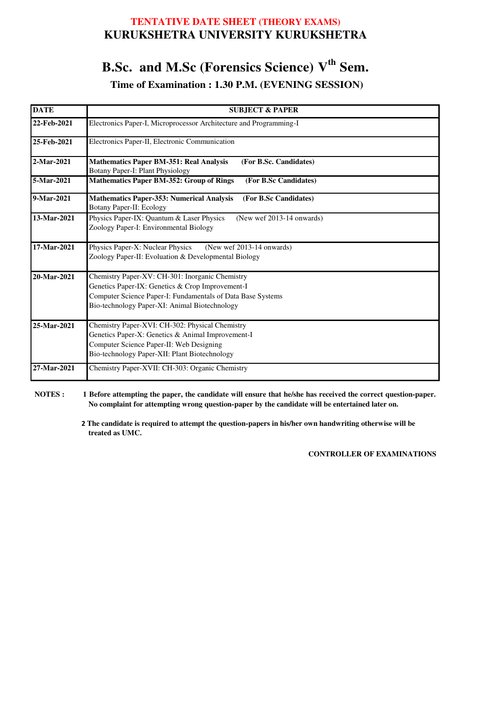### **B.Sc. and M.Sc (Forensics Science) Vth Sem. Time of Examination : 1.30 P.M. (EVENING SESSION)**

| <b>DATE</b> | <b>SUBJECT &amp; PAPER</b>                                                                                                                                                                                          |
|-------------|---------------------------------------------------------------------------------------------------------------------------------------------------------------------------------------------------------------------|
| 22-Feb-2021 | Electronics Paper-I, Microprocessor Architecture and Programming-I                                                                                                                                                  |
| 25-Feb-2021 | Electronics Paper-II, Electronic Communication                                                                                                                                                                      |
| 2-Mar-2021  | <b>Mathematics Paper BM-351: Real Analysis</b><br>(For B.Sc. Candidates)<br>Botany Paper-I: Plant Physiology                                                                                                        |
| 5-Mar-2021  | <b>Mathematics Paper BM-352: Group of Rings</b><br>(For B.Sc Candidates)                                                                                                                                            |
| 9-Mar-2021  | <b>Mathematics Paper-353: Numerical Analysis</b><br>(For B.Sc Candidates)<br>Botany Paper-II: Ecology                                                                                                               |
| 13-Mar-2021 | Physics Paper-IX: Quantum & Laser Physics<br>(New wef 2013-14 onwards)<br>Zoology Paper-I: Environmental Biology                                                                                                    |
| 17-Mar-2021 | Physics Paper-X: Nuclear Physics<br>(New wef 2013-14 onwards)<br>Zoology Paper-II: Evoluation & Developmental Biology                                                                                               |
| 20-Mar-2021 | Chemistry Paper-XV: CH-301: Inorganic Chemistry<br>Genetics Paper-IX: Genetics & Crop Improvement-I<br>Computer Science Paper-I: Fundamentals of Data Base Systems<br>Bio-technology Paper-XI: Animal Biotechnology |
| 25-Mar-2021 | Chemistry Paper-XVI: CH-302: Physical Chemistry<br>Genetics Paper-X: Genetics & Animal Improvement-I<br>Computer Science Paper-II: Web Designing<br>Bio-technology Paper-XII: Plant Biotechnology                   |
| 27-Mar-2021 | Chemistry Paper-XVII: CH-303: Organic Chemistry                                                                                                                                                                     |

**NOTES : 1 Before attempting the paper, the candidate will ensure that he/she has received the correct question-paper. No complaint for attempting wrong question-paper by the candidate will be entertained later on.** 

> **2 The candidate is required to attempt the question-papers in his/her own handwriting otherwise will be treated as UMC.**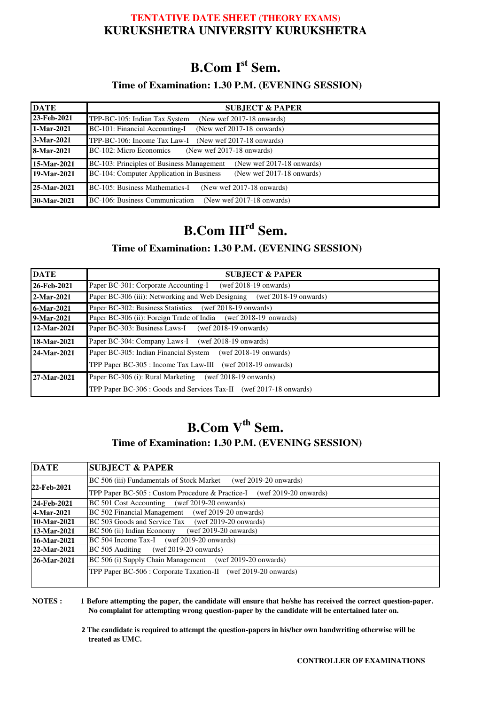## **B.Com Ist Sem.**

#### **Time of Examination: 1.30 P.M. (EVENING SESSION)**

| <b>DATE</b> | <b>SUBJECT &amp; PAPER</b>                                             |
|-------------|------------------------------------------------------------------------|
| 23-Feb-2021 | TPP-BC-105: Indian Tax System<br>(New wef $2017-18$ onwards)           |
| 1-Mar-2021  | BC-101: Financial Accounting-I<br>(New wef 2017-18 onwards)            |
| 3-Mar-2021  | TPP-BC-106: Income Tax Law-I<br>(New wef 2017-18 onwards)              |
| 8-Mar-2021  | BC-102: Micro Economics<br>(New wef 2017-18 onwards)                   |
| 15-Mar-2021 | BC-103: Principles of Business Management<br>(New wef 2017-18 onwards) |
| 19-Mar-2021 | BC-104: Computer Application in Business<br>(New wef 2017-18 onwards)  |
| 25-Mar-2021 | BC-105: Business Mathematics-I<br>(New wef $2017-18$ onwards)          |
| 30-Mar-2021 | BC-106: Business Communication<br>(New wef 2017-18 onwards)            |

## **B.Com IIIrd Sem.**

### **Time of Examination: 1.30 P.M. (EVENING SESSION)**

| <b>DATE</b> | <b>SUBJECT &amp; PAPER</b>                                             |
|-------------|------------------------------------------------------------------------|
| 26-Feb-2021 | Paper BC-301: Corporate Accounting-I<br>$($ wef 2018-19 onwards $)$    |
| 2-Mar-2021  | Paper BC-306 (iii): Networking and Web Designing (wef 2018-19 onwards) |
| 6-Mar-2021  | Paper BC-302: Business Statistics (wef 2018-19 onwards)                |
| 9-Mar-2021  | Paper BC-306 (ii): Foreign Trade of India (wef 2018-19 onwards)        |
| 12-Mar-2021 | Paper BC-303: Business Laws-I (wef 2018-19 onwards)                    |
| 18-Mar-2021 | Paper BC-304: Company Laws-I (wef 2018-19 onwards)                     |
| 24-Mar-2021 | Paper BC-305: Indian Financial System (wef 2018-19 onwards)            |
|             | TPP Paper BC-305 : Income Tax Law-III (wef 2018-19 onwards)            |
| 27-Mar-2021 | Paper BC-306 (i): Rural Marketing (wef 2018-19 onwards)                |
|             | TPP Paper BC-306 : Goods and Services Tax-II (wef 2017-18 onwards)     |

### **B.Com Vth Sem. Time of Examination: 1.30 P.M. (EVENING SESSION)**

| <b>DATE</b> | <b>SUBJECT &amp; PAPER</b>                                                  |
|-------------|-----------------------------------------------------------------------------|
|             | BC 506 (iii) Fundamentals of Stock Market<br>(wet $2019-20$ onwards)        |
| 22-Feb-2021 | TPP Paper BC-505 : Custom Procedure & Practice-I<br>(wef $2019-20$ onwards) |
| 24-Feb-2021 | BC 501 Cost Accounting (wef 2019-20 onwards)                                |
| 4-Mar-2021  | BC 502 Financial Management<br>(wef $2019-20$ onwards)                      |
| 10-Mar-2021 | BC 503 Goods and Service Tax<br>(wef $2019-20$ onwards)                     |
| 13-Mar-2021 | BC 506 (ii) Indian Economy<br>(wef $2019-20$ onwards)                       |
| 16-Mar-2021 | BC 504 Income Tax-I (wef 2019-20 onwards)                                   |
| 22-Mar-2021 | BC 505 Auditing (wef 2019-20 onwards)                                       |
| 26-Mar-2021 | BC 506 (i) Supply Chain Management (wef 2019-20 onwards)                    |
|             | TPP Paper BC-506 : Corporate Taxation-II (wef 2019-20 onwards)              |

**NOTES : 1 Before attempting the paper, the candidate will ensure that he/she has received the correct question-paper. No complaint for attempting wrong question-paper by the candidate will be entertained later on.** 

> **2 The candidate is required to attempt the question-papers in his/her own handwriting otherwise will be treated as UMC.**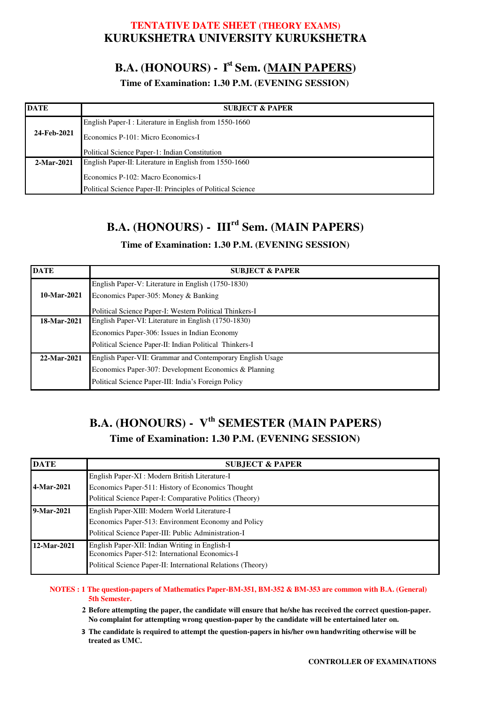### **B.A. (HONOURS) - I st Sem. (MAIN PAPERS)**

#### **Time of Examination: 1.30 P.M. (EVENING SESSION)**

| <b>DATE</b> | <b>SUBJECT &amp; PAPER</b>                                  |
|-------------|-------------------------------------------------------------|
|             | English Paper-I : Literature in English from 1550-1660      |
| 24-Feb-2021 | Economics P-101: Micro Economics-I                          |
|             | Political Science Paper-1: Indian Constitution              |
| 2-Mar-2021  | English Paper-II: Literature in English from 1550-1660      |
|             | Economics P-102: Macro Economics-I                          |
|             | Political Science Paper-II: Principles of Political Science |

### **B.A. (HONOURS) - IIIrd Sem. (MAIN PAPERS)**

#### **Time of Examination: 1.30 P.M. (EVENING SESSION)**

| <b>DATE</b> | <b>SUBJECT &amp; PAPER</b>                                |
|-------------|-----------------------------------------------------------|
|             | English Paper-V: Literature in English (1750-1830)        |
| 10-Mar-2021 | Economics Paper-305: Money & Banking                      |
|             | Political Science Paper-I: Western Political Thinkers-I   |
| 18-Mar-2021 | English Paper-VI: Literature in English (1750-1830)       |
|             | Economics Paper-306: Issues in Indian Economy             |
|             | Political Science Paper-II: Indian Political Thinkers-I   |
| 22-Mar-2021 | English Paper-VII: Grammar and Contemporary English Usage |
|             | Economics Paper-307: Development Economics & Planning     |
|             | Political Science Paper-III: India's Foreign Policy       |

### **B.A. (HONOURS) - V th SEMESTER (MAIN PAPERS) Time of Examination: 1.30 P.M. (EVENING SESSION)**

| <b>DATE</b> | <b>SUBJECT &amp; PAPER</b>                                   |
|-------------|--------------------------------------------------------------|
|             | English Paper-XI : Modern British Literature-I               |
| 4-Mar-2021  | Economics Paper-511: History of Economics Thought            |
|             | Political Science Paper-I: Comparative Politics (Theory)     |
| 9-Mar-2021  | English Paper-XIII: Modern World Literature-I                |
|             | Economics Paper-513: Environment Economy and Policy          |
|             | Political Science Paper-III: Public Administration-I         |
| 12-Mar-2021 | English Paper-XII: Indian Writing in English-I               |
|             | Economics Paper-512: International Economics-I               |
|             | Political Science Paper-II: International Relations (Theory) |

#### **NOTES : 1 The question-papers of Mathematics Paper-BM-351, BM-352 & BM-353 are common with B.A. (General) 5th Semester.**

- **2 Before attempting the paper, the candidate will ensure that he/she has received the correct question-paper. No complaint for attempting wrong question-paper by the candidate will be entertained later on.**
- **3 The candidate is required to attempt the question-papers in his/her own handwriting otherwise will be treated as UMC.**